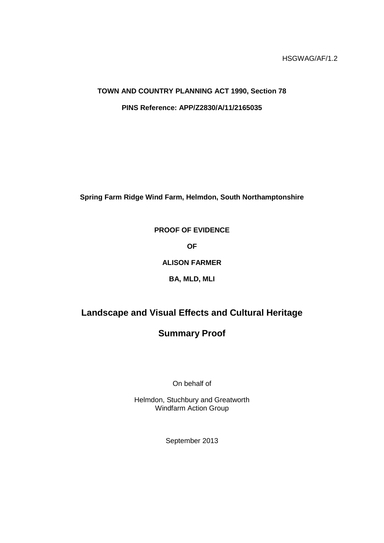HSGWAG/AF/1.2

# **TOWN AND COUNTRY PLANNING ACT 1990, Section 78 PINS Reference: APP/Z2830/A/11/2165035**

**Spring Farm Ridge Wind Farm, Helmdon, South Northamptonshire**

## **PROOF OF EVIDENCE**

**OF**

**ALISON FARMER**

**BA, MLD, MLI**

## **Landscape and Visual Effects and Cultural Heritage**

## **Summary Proof**

On behalf of

Helmdon, Stuchbury and Greatworth Windfarm Action Group

September 2013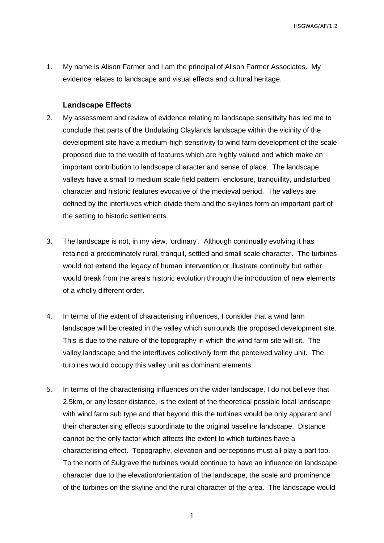HSGWAG/AF/1.2

1. My name is Alison Farmer and I am the principal of Alison Farmer Associates. My evidence relates to landscape and visual effects and cultural heritage.

#### **Landscape Effects**

- 2. My assessment and review of evidence relating to landscape sensitivity has led me to conclude that parts of the Undulating Claylands landscape within the vicinity of the development site have a medium-high sensitivity to wind farm development of the scale proposed due to the wealth of features which are highly valued and which make an important contribution to landscape character and sense of place. The landscape valleys have a small to medium scale field pattern, enclosure, tranquillity, undisturbed character and historic features evocative of the medieval period. The valleys are defined by the interfluves which divide them and the skylines form an important part of the setting to historic settlements.
- 3. The landscape is not, in my view, 'ordinary'. Although continually evolving it has retained a predominately rural, tranquil, settled and small scale character. The turbines would not extend the legacy of human intervention or illustrate continuity but rather would break from the area's historic evolution through the introduction of new elements of a wholly different order.
- 4. In terms of the extent of characterising influences, I consider that a wind farm landscape will be created in the valley which surrounds the proposed development site. This is due to the nature of the topography in which the wind farm site will sit. The valley landscape and the interfluves collectively form the perceived valley unit. The turbines would occupy this valley unit as dominant elements.
- 5. In terms of the characterising influences on the wider landscape, I do not believe that 2.5km, or any lesser distance, is the extent of the theoretical possible local landscape with wind farm sub type and that beyond this the turbines would be only apparent and their characterising effects subordinate to the original baseline landscape. Distance cannot be the only factor which affects the extent to which turbines have a characterising effect. Topography, elevation and perceptions must all play a part too. To the north of Sulgrave the turbines would continue to have an influence on landscape character due to the elevation/orientation of the landscape, the scale and prominence of the turbines on the skyline and the rural character of the area. The landscape would

1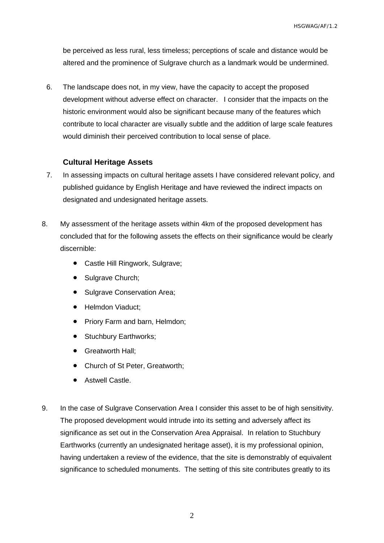HSGWAG/AF/1.2

be perceived as less rural, less timeless; perceptions of scale and distance would be altered and the prominence of Sulgrave church as a landmark would be undermined.

6. The landscape does not, in my view, have the capacity to accept the proposed development without adverse effect on character. I consider that the impacts on the historic environment would also be significant because many of the features which contribute to local character are visually subtle and the addition of large scale features would diminish their perceived contribution to local sense of place.

### **Cultural Heritage Assets**

- 7. In assessing impacts on cultural heritage assets I have considered relevant policy, and published guidance by English Heritage and have reviewed the indirect impacts on designated and undesignated heritage assets.
- 8. My assessment of the heritage assets within 4km of the proposed development has concluded that for the following assets the effects on their significance would be clearly discernible:
	- Castle Hill Ringwork, Sulgrave;
	- Sulgrave Church;
	- Sulgrave Conservation Area;
	- Helmdon Viaduct:
	- Priory Farm and barn, Helmdon;
	- Stuchbury Earthworks;
	- **•** Greatworth Hall:
	- Church of St Peter, Greatworth;
	- **•** Astwell Castle.
- 9. In the case of Sulgrave Conservation Area I consider this asset to be of high sensitivity. The proposed development would intrude into its setting and adversely affect its significance as set out in the Conservation Area Appraisal. In relation to Stuchbury Earthworks (currently an undesignated heritage asset), it is my professional opinion, having undertaken a review of the evidence, that the site is demonstrably of equivalent significance to scheduled monuments. The setting of this site contributes greatly to its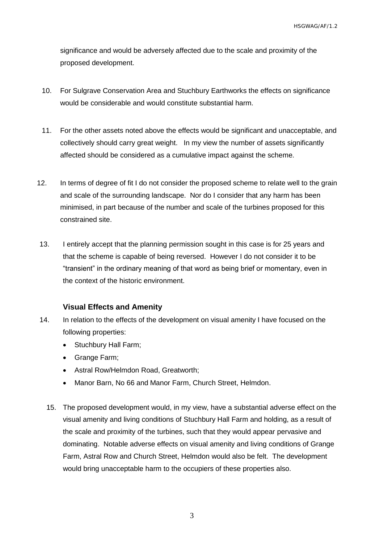significance and would be adversely affected due to the scale and proximity of the proposed development.

- 10. For Sulgrave Conservation Area and Stuchbury Earthworks the effects on significance would be considerable and would constitute substantial harm.
- 11. For the other assets noted above the effects would be significant and unacceptable, and collectively should carry great weight. In my view the number of assets significantly affected should be considered as a cumulative impact against the scheme.
- 12. In terms of degree of fit I do not consider the proposed scheme to relate well to the grain and scale of the surrounding landscape. Nor do I consider that any harm has been minimised, in part because of the number and scale of the turbines proposed for this constrained site.
- 13. I entirely accept that the planning permission sought in this case is for 25 years and that the scheme is capable of being reversed. However I do not consider it to be "transient" in the ordinary meaning of that word as being brief or momentary, even in the context of the historic environment.

#### **Visual Effects and Amenity**

- 14. In relation to the effects of the development on visual amenity I have focused on the following properties:
	- Stuchbury Hall Farm;
	- Grange Farm:
	- Astral Row/Helmdon Road, Greatworth;
	- Manor Barn, No 66 and Manor Farm, Church Street, Helmdon.
	- 15. The proposed development would, in my view, have a substantial adverse effect on the visual amenity and living conditions of Stuchbury Hall Farm and holding, as a result of the scale and proximity of the turbines, such that they would appear pervasive and dominating. Notable adverse effects on visual amenity and living conditions of Grange Farm, Astral Row and Church Street, Helmdon would also be felt. The development would bring unacceptable harm to the occupiers of these properties also.